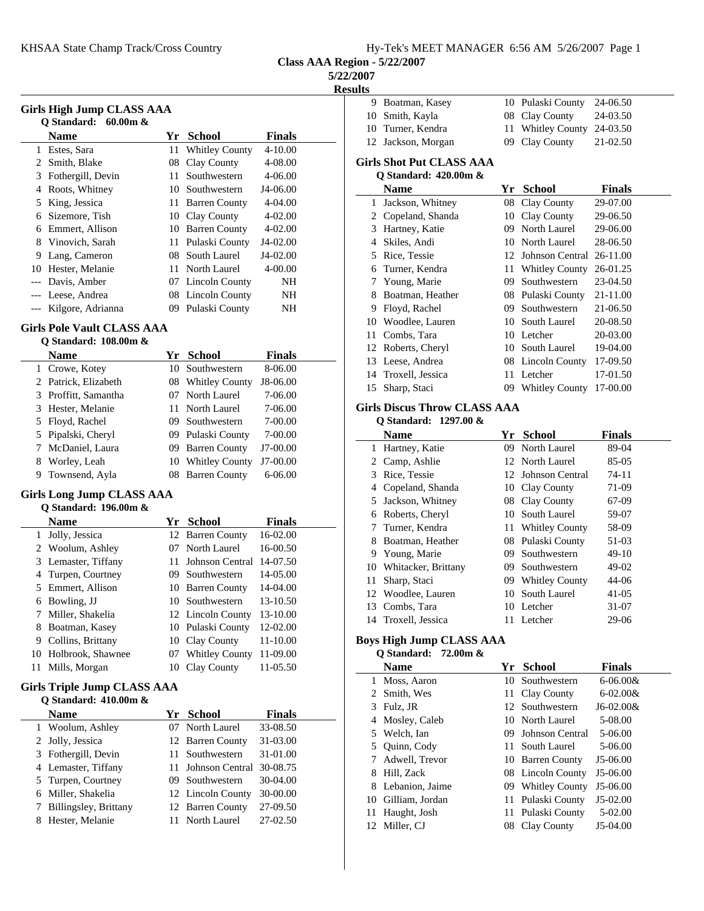**Class AAA Region - 5/22/2007**

**5/22/2007**

**Results**

| Girls High Jump CLASS AAA<br>Q Standard: 60.00m & |                   |      |                   |               |  |  |
|---------------------------------------------------|-------------------|------|-------------------|---------------|--|--|
|                                                   | Name              | Yr - | <b>School</b>     | <b>Finals</b> |  |  |
| 1                                                 | Estes, Sara       |      | 11 Whitley County | $4 - 10.00$   |  |  |
| 2                                                 | Smith, Blake      | 08   | Clay County       | 4-08.00       |  |  |
| 3                                                 | Fothergill, Devin | 11   | Southwestern      | 4-06.00       |  |  |
| 4                                                 | Roots, Whitney    | 10   | Southwestern      | J4-06.00      |  |  |
| 5                                                 | King, Jessica     |      | 11 Barren County  | 4-04.00       |  |  |
| 6                                                 | Sizemore, Tish    |      | 10 Clay County    | $4 - 02.00$   |  |  |
| 6                                                 | Emmert, Allison   |      | 10 Barren County  | $4 - 02.00$   |  |  |
| 8                                                 | Vinovich, Sarah   |      | 11 Pulaski County | J4-02.00      |  |  |
| 9                                                 | Lang, Cameron     |      | 08 South Laurel   | J4-02.00      |  |  |
| 10                                                | Hester, Melanie   | 11.  | North Laurel      | $4 - 00.00$   |  |  |
|                                                   | Davis, Amber      |      | 07 Lincoln County | NH            |  |  |
|                                                   | --- Leese, Andrea |      | 08 Lincoln County | NΗ            |  |  |
|                                                   | Kilgore, Adrianna | 09.  | Pulaski County    | NΗ            |  |  |
|                                                   |                   |      |                   |               |  |  |

#### **Girls Pole Vault CLASS AAA**

### **Q Standard: 108.00m &**

|   | <b>Name</b>          |     | Yr School            | <b>Finals</b> |  |
|---|----------------------|-----|----------------------|---------------|--|
|   | 1 Crowe, Kotey       |     | 10 Southwestern      | 8-06.00       |  |
|   | 2 Patrick, Elizabeth |     | 08 Whitley County    | J8-06.00      |  |
|   | 3 Proffitt, Samantha |     | North Laurel         | 7-06.00       |  |
|   | 3 Hester, Melanie    |     | 11 North Laurel      | 7-06.00       |  |
|   | 5 Floyd, Rachel      |     | 09 Southwestern      | 7-00.00       |  |
|   | 5 Pipalski, Cheryl   |     | 09 Pulaski County    | 7-00.00       |  |
|   | McDaniel, Laura      | 09. | <b>Barren County</b> | $J7-00.00$    |  |
| 8 | Worley, Leah         |     | 10 Whitley County    | $J7-00.00$    |  |
| 9 | Townsend, Ayla       |     | 08 Barren County     | $6 - 06.00$   |  |

### **Girls Long Jump CLASS AAA**

|    | Q Standard: 196.00m & |     |                       |               |
|----|-----------------------|-----|-----------------------|---------------|
|    | <b>Name</b>           | Yr  | - School              | <b>Finals</b> |
| 1  | Jolly, Jessica        |     | 12 Barren County      | $16-02.00$    |
|    | 2 Woolum, Ashley      | 07  | North Laurel          | 16-00.50      |
|    | 3 Lemaster, Tiffany   | 11  | Johnson Central       | 14-07.50      |
| 4  | Turpen, Courtney      |     | 09 Southwestern       | 14-05.00      |
|    | 5 Emmert, Allison     |     | 10 Barren County      | $14-04.00$    |
| 6  | Bowling, JJ           |     | 10 Southwestern       | 13-10.50      |
|    | Miller, Shakelia      |     | 12 Lincoln County     | 13-10.00      |
| 8  | Boatman, Kasey        |     | 10 Pulaski County     | 12-02.00      |
| 9  | Collins, Brittany     |     | 10 Clay County        | 11-10.00      |
| 10 | Holbrook, Shawnee     | 07. | <b>Whitley County</b> | 11-09.00      |
|    | Mills, Morgan         |     | Clay County           | 11-05.50      |

#### **Girls Triple Jump CLASS AAA**

| O Standard: 410.00m & |                          |               |
|-----------------------|--------------------------|---------------|
| Name                  | Yr School                | <b>Finals</b> |
| 1 Woolum, Ashley      | 07 North Laurel          | 33-08.50      |
| 2 Jolly, Jessica      | 12 Barren County         | 31-03.00      |
| 3 Fothergill, Devin   | 11 Southwestern          | 31-01.00      |
| 4 Lemaster, Tiffany   | Johnson Central 30-08.75 |               |
| 5 Turpen, Courtney    | 09 Southwestern          | $30-04.00$    |
| Miller, Shakelia<br>6 | 12 Lincoln County        | 30-00.00      |
| Billingsley, Brittany | 12 Barren County         | 27-09.50      |
| Hester, Melanie<br>8  | 11 North Laurel          | 27-02.50      |

| 9                        | Boatman, Kasey                      |    | 10 Pulaski County     | 24-06.50 |  |  |  |  |
|--------------------------|-------------------------------------|----|-----------------------|----------|--|--|--|--|
| 10                       | Smith, Kayla                        | 08 | Clay County           | 24-03.50 |  |  |  |  |
| 10                       | Turner, Kendra                      | 11 | <b>Whitley County</b> | 24-03.50 |  |  |  |  |
| 12                       | Jackson, Morgan                     | 09 | Clay County           | 21-02.50 |  |  |  |  |
| Girls Shot Put CLASS AAA |                                     |    |                       |          |  |  |  |  |
|                          | Q Standard: 420.00m &               |    |                       |          |  |  |  |  |
|                          | Name                                | Yr | <b>School</b>         | Finals   |  |  |  |  |
| 1                        | Jackson, Whitney                    | 08 | Clay County           | 29-07.00 |  |  |  |  |
| 2                        | Copeland, Shanda                    | 10 | Clay County           | 29-06.50 |  |  |  |  |
| 3                        | Hartney, Katie                      | 09 | North Laurel          | 29-06.00 |  |  |  |  |
| $\overline{4}$           | Skiles, Andi                        | 10 | North Laurel          | 28-06.50 |  |  |  |  |
| 5                        | Rice, Tessie                        | 12 | Johnson Central       | 26-11.00 |  |  |  |  |
| 6                        | Turner, Kendra                      | 11 | <b>Whitley County</b> | 26-01.25 |  |  |  |  |
| 7                        | Young, Marie                        | 09 | Southwestern          | 23-04.50 |  |  |  |  |
| 8                        | Boatman, Heather                    |    | 08 Pulaski County     | 21-11.00 |  |  |  |  |
| 9                        | Floyd, Rachel                       | 09 | Southwestern          | 21-06.50 |  |  |  |  |
| 10                       | Woodlee, Lauren                     | 10 | South Laurel          | 20-08.50 |  |  |  |  |
| 11                       | Combs, Tara                         | 10 | Letcher               | 20-03.00 |  |  |  |  |
| 12                       | Roberts, Cheryl                     | 10 | South Laurel          | 19-04.00 |  |  |  |  |
| 13                       | Leese, Andrea                       | 08 | Lincoln County        | 17-09.50 |  |  |  |  |
| 14                       | Troxell, Jessica                    | 11 | Letcher               | 17-01.50 |  |  |  |  |
| 15                       | Sharp, Staci                        | 09 | <b>Whitley County</b> | 17-00.00 |  |  |  |  |
|                          | <b>Girls Discus Throw CLASS AAA</b> |    |                       |          |  |  |  |  |

#### **Q Standard: 1297.00 &**

 $\mathbf{r}$ 

|              | <b>Name</b>            | Yr  | School             | <b>Finals</b> |  |
|--------------|------------------------|-----|--------------------|---------------|--|
|              | 1 Hartney, Katie       |     | 09 North Laurel    | 89-04         |  |
| $\mathbf{Z}$ | Camp, Ashlie           |     | 12 North Laurel    | 85-05         |  |
| 3            | Rice, Tessie           |     | 12 Johnson Central | $74-11$       |  |
| 4            | Copeland, Shanda       |     | 10 Clay County     | 71-09         |  |
| 5.           | Jackson, Whitney       |     | 08 Clay County     | 67-09         |  |
| 6            | Roberts, Cheryl        | 10  | South Laurel       | 59-07         |  |
| 7            | Turner, Kendra         |     | 11 Whitley County  | 58-09         |  |
| 8            | Boatman, Heather       |     | 08 Pulaski County  | 51-03         |  |
| 9            | Young, Marie           | 09. | Southwestern       | $49-10$       |  |
|              | 10 Whitacker, Brittany | 09. | Southwestern       | 49-02         |  |
| 11           | Sharp, Staci           |     | 09 Whitley County  | 44-06         |  |
| 12           | Woodlee, Lauren        | 10  | South Laurel       | $41 - 05$     |  |
| 13           | Combs, Tara            |     | 10 Letcher         | 31-07         |  |
|              | 14 Troxell, Jessica    | 11  | Letcher            | 29-06         |  |
|              |                        |     |                    |               |  |

# **Boys High Jump CLASS AAA**

## **Q Standard: 72.00m &**

|    | <b>Name</b>        | Yr  | School            | <b>Finals</b> |
|----|--------------------|-----|-------------------|---------------|
|    | Moss, Aaron        | 10  | Southwestern      | $6 - 06.00 &$ |
|    | 2 Smith, Wes       | 11  | Clay County       | $6 - 02.00 &$ |
|    | 3 Fulz, JR         |     | 12 Southwestern   | $J6-02.00&$   |
| 4  | Mosley, Caleb      |     | 10 North Laurel   | 5-08.00       |
|    | 5 Welch, Ian       | 09  | Johnson Central   | 5-06.00       |
|    | 5 Ouinn, Cody      | 11. | South Laurel      | 5-06.00       |
|    | 7 Adwell, Trevor   |     | 10 Barren County  | J5-06.00      |
| 8  | Hill, Zack         |     | 08 Lincoln County | $J5-06.00$    |
|    | 8 Lebanion, Jaime  |     | 09 Whitley County | $J5-06.00$    |
|    | 10 Gilliam, Jordan | 11  | Pulaski County    | $J5-02.00$    |
| 11 | Haught, Josh       | 11  | Pulaski County    | $5-02.00$     |
|    | 12 Miller. CJ      | 08  | Clay County       | $J5-04.00$    |